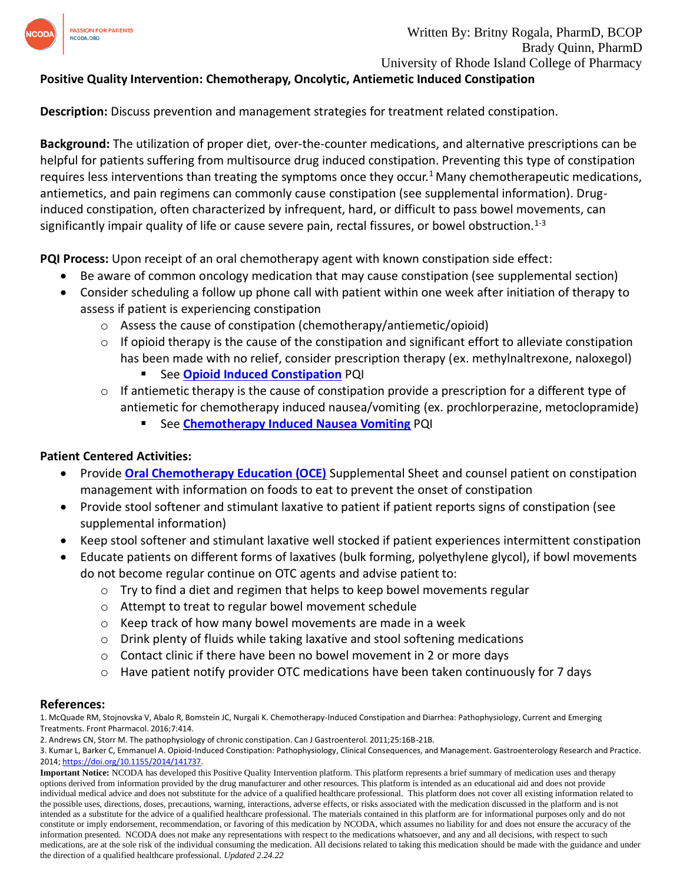

# **Positive Quality Intervention: Chemotherapy, Oncolytic, Antiemetic Induced Constipation**

**Description:** Discuss prevention and management strategies for treatment related constipation.

**Background:** The utilization of proper diet, over-the-counter medications, and alternative prescriptions can be helpful for patients suffering from multisource drug induced constipation. Preventing this type of constipation requires less interventions than treating the symptoms once they occur.<sup>1</sup> Many chemotherapeutic medications, antiemetics, and pain regimens can commonly cause constipation (see supplemental information). Druginduced constipation, often characterized by infrequent, hard, or difficult to pass bowel movements, can significantly impair quality of life or cause severe pain, rectal fissures, or bowel obstruction.<sup>1-3</sup>

**PQI Process:** Upon receipt of an oral chemotherapy agent with known constipation side effect:

- Be aware of common oncology medication that may cause constipation (see supplemental section)
- Consider scheduling a follow up phone call with patient within one week after initiation of therapy to assess if patient is experiencing constipation
	- o Assess the cause of constipation (chemotherapy/antiemetic/opioid)
	- o If opioid therapy is the cause of the constipation and significant effort to alleviate constipation has been made with no relief, consider prescription therapy (ex. methylnaltrexone, naloxegol)
		- See **[Opioid Induced Constipation](https://www.ncoda.org/wp-content/uploads/pqis/Opioid-Induced-Constipation_PQI_NCODA.pdf)** PQI
	- $\circ$  If antiemetic therapy is the cause of constipation provide a prescription for a different type of antiemetic for chemotherapy induced nausea/vomiting (ex. prochlorperazine, metoclopramide)
		- See **[Chemotherapy Induced Nausea Vomiting](https://www.ncoda.org/wp-content/uploads/pqis/Chemotherapy-Induced-Nausea-and-Vomiting_PQI_NCODA.pdf)** PQI

#### **Patient Centered Activities:**

- Provide **[Oral Chemotherapy Education \(OCE\)](https://www.ncoda.org/wp-content/uploads/2021/03/constipation_supplemental-1.pdf)** Supplemental Sheet and counsel patient on constipation management with information on foods to eat to prevent the onset of constipation
- Provide stool softener and stimulant laxative to patient if patient reports signs of constipation (see supplemental information)
- Keep stool softener and stimulant laxative well stocked if patient experiences intermittent constipation
- Educate patients on different forms of laxatives (bulk forming, polyethylene glycol), if bowl movements do not become regular continue on OTC agents and advise patient to:
	- $\circ$  Try to find a diet and regimen that helps to keep bowel movements regular
	- o Attempt to treat to regular bowel movement schedule
	- o Keep track of how many bowel movements are made in a week
	- o Drink plenty of fluids while taking laxative and stool softening medications
	- o Contact clinic if there have been no bowel movement in 2 or more days
	- $\circ$  Have patient notify provider OTC medications have been taken continuously for 7 days

#### **References:**

1. McQuade RM, Stojnovska V, Abalo R, Bomstein JC, Nurgali K. Chemotherapy-Induced Constipation and Diarrhea: Pathophysiology, Current and Emerging Treatments. Front Pharmacol. 2016;7:414.

<sup>2.</sup> Andrews CN, Storr M. The pathophysiology of chronic constipation. Can J Gastroenterol. 2011;25:16B-21B.

<sup>3.</sup> Kumar L, Barker C, Emmanuel A. Opioid-Induced Constipation: Pathophysiology, Clinical Consequences, and Management. Gastroenterology Research and Practice. 2014[; https://doi.org/10.1155/2014/141737.](https://doi.org/10.1155/2014/141737)

**Important Notice:** NCODA has developed this Positive Quality Intervention platform. This platform represents a brief summary of medication uses and therapy options derived from information provided by the drug manufacturer and other resources. This platform is intended as an educational aid and does not provide individual medical advice and does not substitute for the advice of a qualified healthcare professional. This platform does not cover all existing information related to the possible uses, directions, doses, precautions, warning, interactions, adverse effects, or risks associated with the medication discussed in the platform and is not intended as a substitute for the advice of a qualified healthcare professional. The materials contained in this platform are for informational purposes only and do not constitute or imply endorsement, recommendation, or favoring of this medication by NCODA, which assumes no liability for and does not ensure the accuracy of the information presented. NCODA does not make any representations with respect to the medications whatsoever, and any and all decisions, with respect to such medications, are at the sole risk of the individual consuming the medication. All decisions related to taking this medication should be made with the guidance and under the direction of a qualified healthcare professional. *Updated 2.24.22*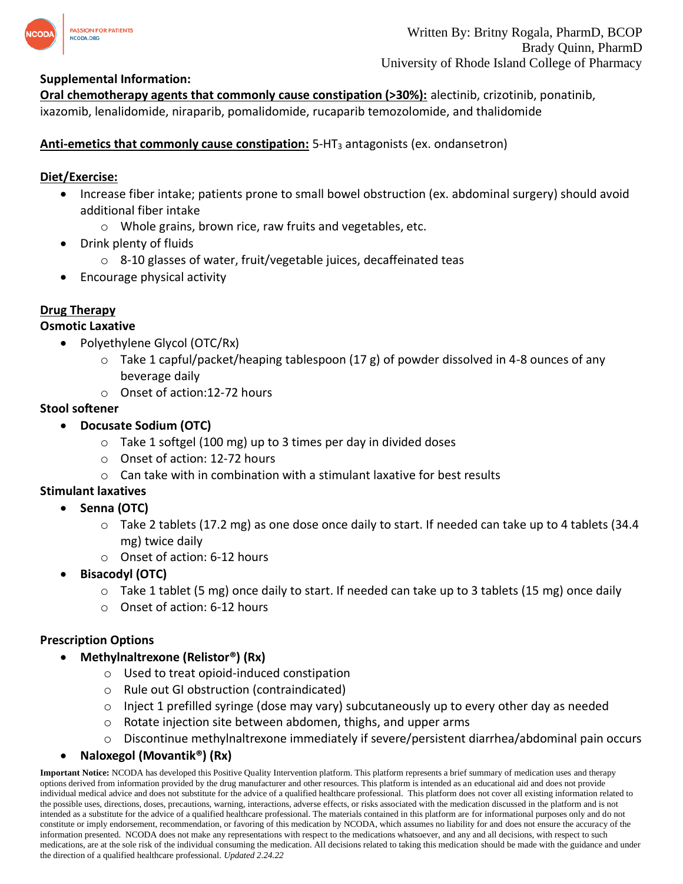

**Oral chemotherapy agents that commonly cause constipation (>30%):** alectinib, crizotinib, ponatinib, ixazomib, lenalidomide, niraparib, pomalidomide, rucaparib temozolomide, and thalidomide

**Anti-emetics that commonly cause constipation:** 5-HT<sup>3</sup> antagonists (ex. ondansetron)

### **Diet/Exercise:**

- Increase fiber intake; patients prone to small bowel obstruction (ex. abdominal surgery) should avoid additional fiber intake
	- o Whole grains, brown rice, raw fruits and vegetables, etc.
- Drink plenty of fluids
	- o 8-10 glasses of water, fruit/vegetable juices, decaffeinated teas
- Encourage physical activity

### **Drug Therapy**

#### **Osmotic Laxative**

- Polyethylene Glycol (OTC/Rx)
	- $\circ$  Take 1 capful/packet/heaping tablespoon (17 g) of powder dissolved in 4-8 ounces of any beverage daily
	- o Onset of action:12-72 hours

### **Stool softener**

- **Docusate Sodium (OTC)**
	- o Take 1 softgel (100 mg) up to 3 times per day in divided doses
	- o Onset of action: 12-72 hours
	- $\circ$  Can take with in combination with a stimulant laxative for best results

#### **Stimulant laxatives**

- **Senna (OTC)**
	- $\circ$  Take 2 tablets (17.2 mg) as one dose once daily to start. If needed can take up to 4 tablets (34.4 mg) twice daily
	- o Onset of action: 6-12 hours
- **Bisacodyl (OTC)**
	- $\circ$  Take 1 tablet (5 mg) once daily to start. If needed can take up to 3 tablets (15 mg) once daily
	- o Onset of action: 6-12 hours

#### **Prescription Options**

- **Methylnaltrexone (Relistor®) (Rx)**
	- o Used to treat opioid-induced constipation
	- o Rule out GI obstruction (contraindicated)
	- $\circ$  Inject 1 prefilled syringe (dose may vary) subcutaneously up to every other day as needed
	- o Rotate injection site between abdomen, thighs, and upper arms
	- o Discontinue methylnaltrexone immediately if severe/persistent diarrhea/abdominal pain occurs
- **Naloxegol (Movantik®) (Rx)**

**Important Notice:** NCODA has developed this Positive Quality Intervention platform. This platform represents a brief summary of medication uses and therapy options derived from information provided by the drug manufacturer and other resources. This platform is intended as an educational aid and does not provide individual medical advice and does not substitute for the advice of a qualified healthcare professional. This platform does not cover all existing information related to the possible uses, directions, doses, precautions, warning, interactions, adverse effects, or risks associated with the medication discussed in the platform and is not intended as a substitute for the advice of a qualified healthcare professional. The materials contained in this platform are for informational purposes only and do not constitute or imply endorsement, recommendation, or favoring of this medication by NCODA, which assumes no liability for and does not ensure the accuracy of the information presented. NCODA does not make any representations with respect to the medications whatsoever, and any and all decisions, with respect to such medications, are at the sole risk of the individual consuming the medication. All decisions related to taking this medication should be made with the guidance and under the direction of a qualified healthcare professional. *Updated 2.24.22*